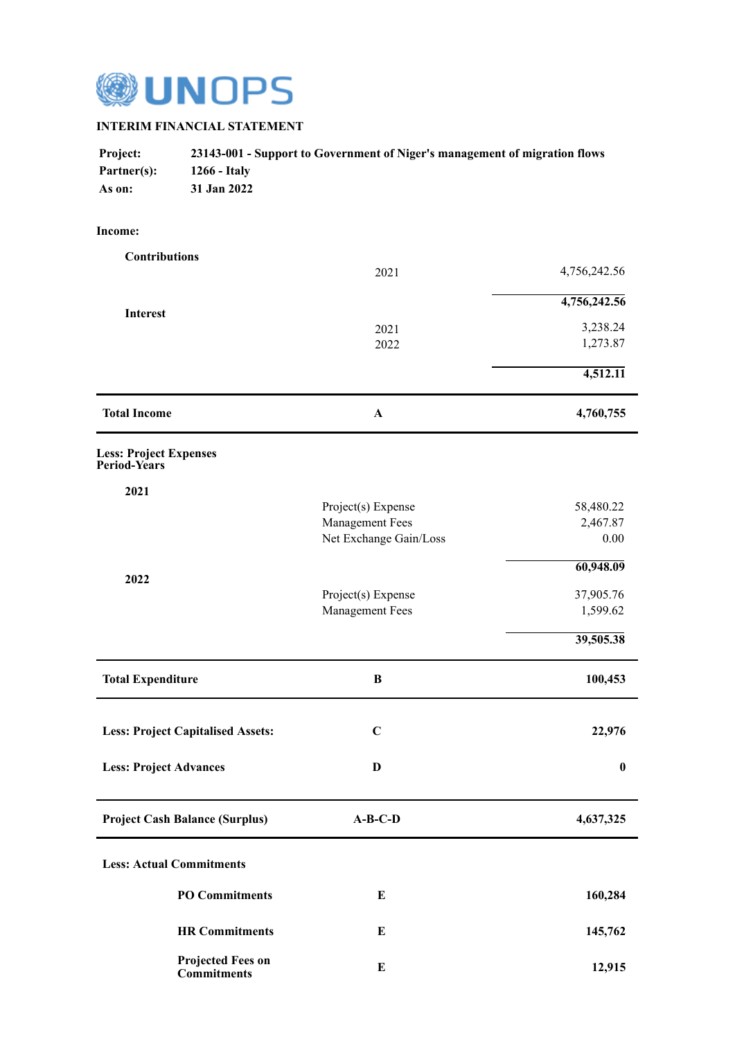

## **INTERIM FINANCIAL STATEMENT**

| <b>Project:</b> | 23143-001 - Support to Government of Niger's management of migration flows |
|-----------------|----------------------------------------------------------------------------|
| Partner(s):     | 1266 - Italy                                                               |
| As on:          | 31 Jan 2022                                                                |

## **Income:**

| <b>Contributions</b>                           |                                                  |                      |
|------------------------------------------------|--------------------------------------------------|----------------------|
|                                                | 2021                                             | 4,756,242.56         |
| <b>Interest</b>                                |                                                  | 4,756,242.56         |
|                                                | 2021                                             | 3,238.24<br>1,273.87 |
|                                                | 2022                                             |                      |
|                                                |                                                  | 4,512.11             |
| <b>Total Income</b>                            | $\mathbf A$                                      | 4,760,755            |
| <b>Less: Project Expenses</b><br>Period-Years  |                                                  |                      |
| 2021                                           |                                                  |                      |
|                                                | Project(s) Expense                               | 58,480.22            |
|                                                | <b>Management Fees</b><br>Net Exchange Gain/Loss | 2,467.87<br>$0.00\,$ |
|                                                |                                                  | 60,948.09            |
| 2022                                           | Project(s) Expense                               | 37,905.76            |
|                                                | <b>Management Fees</b>                           | 1,599.62             |
|                                                |                                                  | 39,505.38            |
| <b>Total Expenditure</b>                       | $\bf{B}$                                         | 100,453              |
| <b>Less: Project Capitalised Assets:</b>       | $\mathbf C$                                      | 22,976               |
| <b>Less: Project Advances</b>                  | D                                                | $\boldsymbol{0}$     |
| <b>Project Cash Balance (Surplus)</b>          | $A-B-C-D$                                        | 4,637,325            |
| <b>Less: Actual Commitments</b>                |                                                  |                      |
| <b>PO</b> Commitments                          | $\bf{E}$                                         | 160,284              |
| <b>HR Commitments</b>                          | E                                                | 145,762              |
| <b>Projected Fees on</b><br><b>Commitments</b> | $\bf{E}$                                         | 12,915               |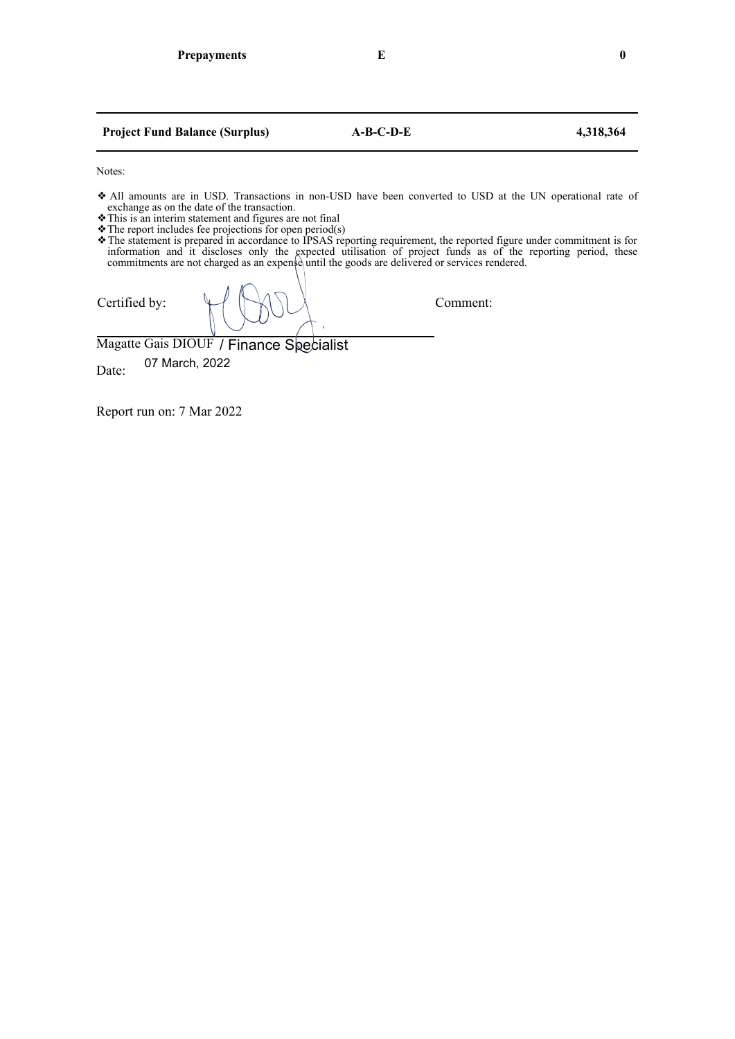| <b>Project Fund Balance (Surplus)</b>                                                                                                                                                                                                                                                                    | $A-B-C-D-E$ | 4,318,364 |
|----------------------------------------------------------------------------------------------------------------------------------------------------------------------------------------------------------------------------------------------------------------------------------------------------------|-------------|-----------|
| Notes:                                                                                                                                                                                                                                                                                                   |             |           |
| All amounts are in USD. Transactions in non-USD have been converted to USD at the UN operational rate of<br>exchange as on the date of the transaction.                                                                                                                                                  |             |           |
| This is an interim statement and figures are not final                                                                                                                                                                                                                                                   |             |           |
| $\bullet$ The report includes fee projections for open period(s)<br>The statement is prepared in accordance to IPSAS reporting requirement, the reported figure under commitment is for<br>information and it discloses only the expected utilisation of project funds as of the reporting period, these |             |           |

commitments are not charged as an expensed until the goods are delivered or services rendered.

Certified by:  $\bigcup_{n=1}^{\infty}$   $\bigcap_{n=1}^{\infty}$   $\bigcap_{n=1}^{\infty}$   $\bigcap_{n=1}^{\infty}$   $\bigcap_{n=1}^{\infty}$   $\bigcap_{n=1}^{\infty}$   $\bigcap_{n=1}^{\infty}$   $\bigcap_{n=1}^{\infty}$   $\bigcap_{n=1}^{\infty}$   $\bigcap_{n=1}^{\infty}$   $\bigcap_{n=1}^{\infty}$   $\bigcap_{n=1}^{\infty}$   $\bigcap_{n=1}^{\infty}$ 

Magatte Gais DIOUF / Finance Specialist

Date: 07 March, 2022

Report run on: 7 Mar 2022